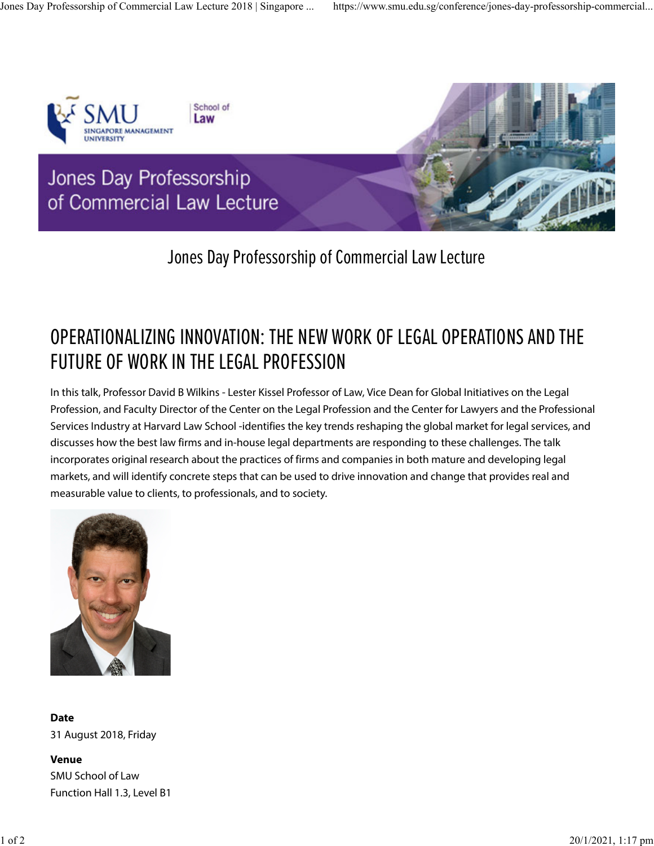

## Jones Day Professorship of Commercial Law Lecture

## OPERATIONALIZING INNOVATION: THE NEW WORK OF LEGAL OPERATIONS AND THE FUTURE OF WORK IN THE LEGAL PROFESSION

In this talk, Professor David B Wilkins - Lester Kissel Professor of Law, Vice Dean for Global Initiatives on the Legal Profession, and Faculty Director of the Center on the Legal Profession and the Center for Lawyers and the Professional Services Industry at Harvard Law School -identifies the key trends reshaping the global market for legal services, and discusses how the best law firms and in-house legal departments are responding to these challenges. The talk incorporates original research about the practices of firms and companies in both mature and developing legal markets, and will identify concrete steps that can be used to drive innovation and change that provides real and measurable value to clients, to professionals, and to society.



**Date** 31 August 2018, Friday

**Venue** SMU School of Law Function Hall 1.3, Level B1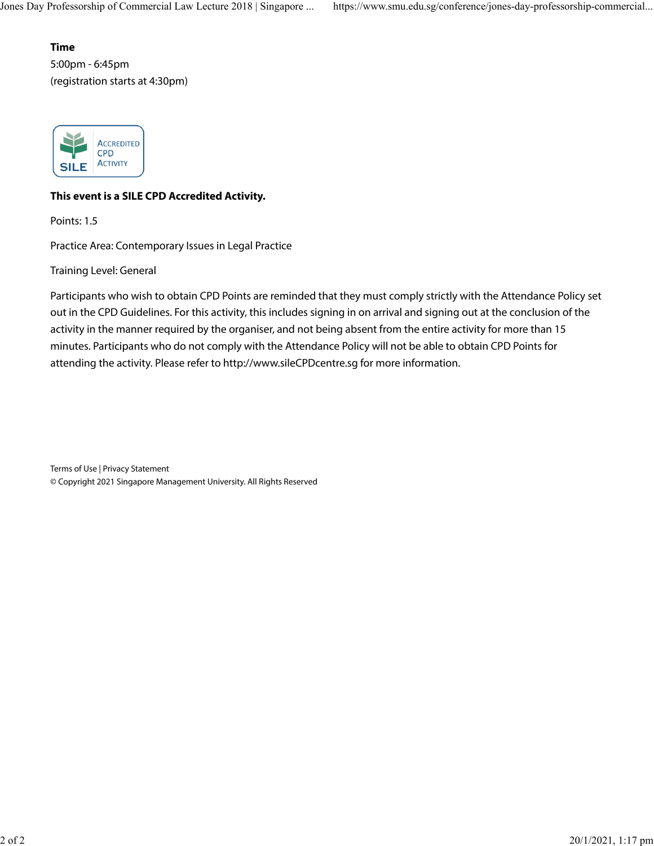### **Time**

5:00pm - 6:45pm (registration starts at 4:30pm)



### **This event is a SILE CPD Accredited Activity.**

Points: 1.5

Practice Area: Contemporary Issues in Legal Practice

Training Level: General

Participants who wish to obtain CPD Points are reminded that they must comply strictly with the Attendance Policy set out in the CPD Guidelines. For this activity, this includes signing in on arrival and signing out at the conclusion of the activity in the manner required by the organiser, and not being absent from the entire activity for more than 15 minutes. Participants who do not comply with the Attendance Policy will not be able to obtain CPD Points for attending the activity. Please refer to http://www.sileCPDcentre.sg for more information.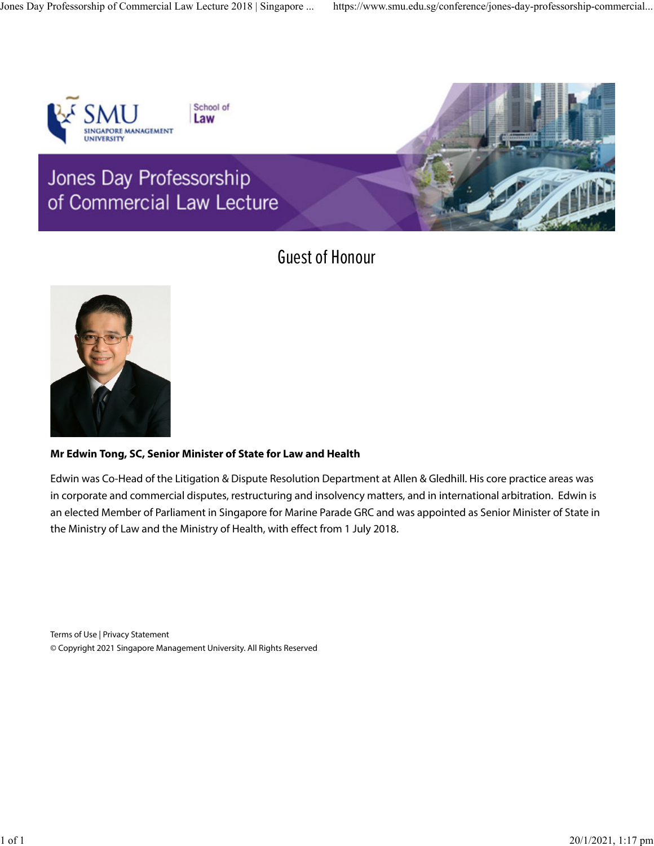

School of Law

## Jones Day Professorship of Commercial Law Lecture



## Guest of Honour



### **Mr Edwin Tong, SC, Senior Minister of State for Law and Health**

Edwin was Co-Head of the Litigation & Dispute Resolution Department at Allen & Gledhill. His core practice areas was in corporate and commercial disputes, restructuring and insolvency matters, and in international arbitration. Edwin is an elected Member of Parliament in Singapore for Marine Parade GRC and was appointed as Senior Minister of State in the Ministry of Law and the Ministry of Health, with effect from 1 July 2018.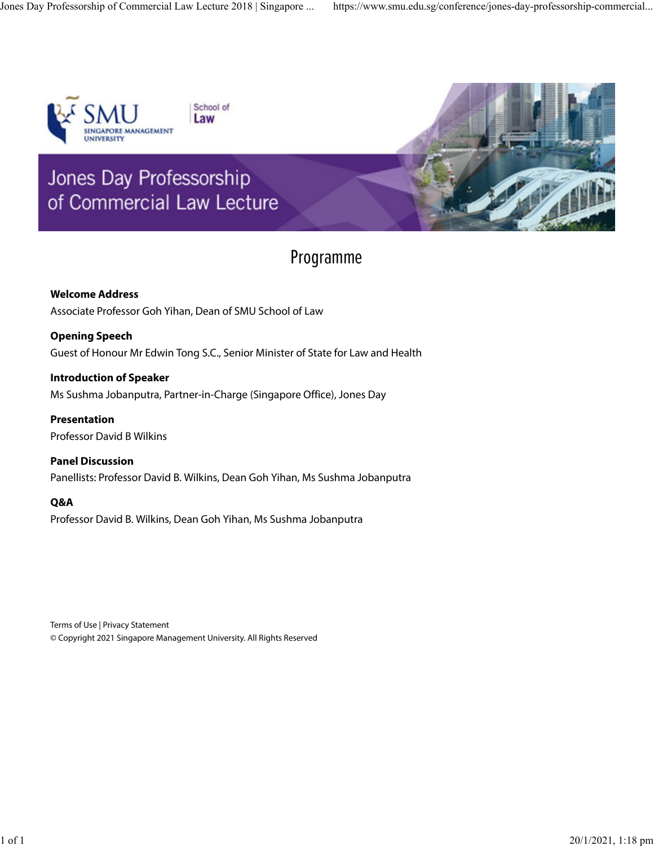

Jones Day Professorship

School of Law



# of Commercial Law Lecture

### Programme

**Welcome Address** Associate Professor Goh Yihan, Dean of SMU School of Law

**Opening Speech** Guest of Honour Mr Edwin Tong S.C., Senior Minister of State for Law and Health

**Introduction of Speaker** Ms Sushma Jobanputra, Partner-in-Charge (Singapore Office), Jones Day

**Presentation** Professor David B Wilkins

**Panel Discussion** Panellists: Professor David B. Wilkins, Dean Goh Yihan, Ms Sushma Jobanputra

#### **Q&A**

Professor David B. Wilkins, Dean Goh Yihan, Ms Sushma Jobanputra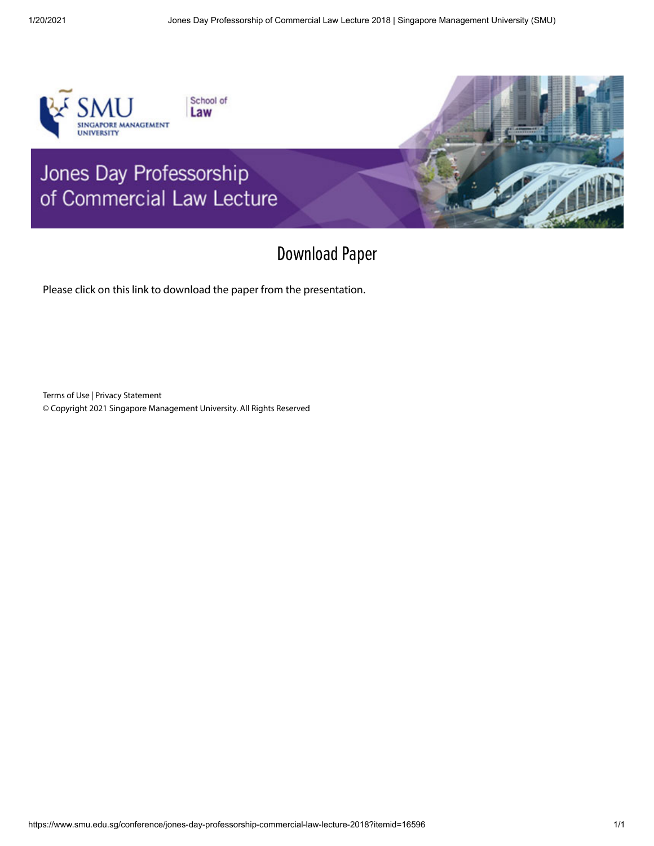

## Download Paper

Please click on [this](https://cebcla.smu.edu.sg/sites/cebcla.smu.edu.sg/files/Singapore%20Jones%20Day%20Lecture%20%28August%2031%2C%202018%29.pdf) link to download the paper from the presentation.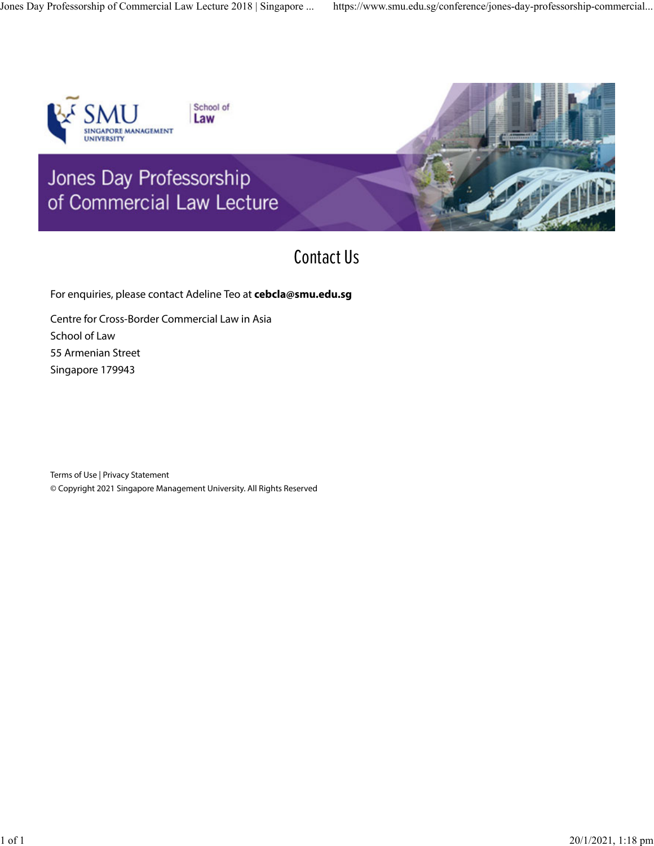

School of Law



## Contact Us

For enquiries, please contact Adeline Teo at **cebcla@smu.edu.sg**

Centre for Cross-Border Commercial Law in Asia School of Law 55 Armenian Street Singapore 179943